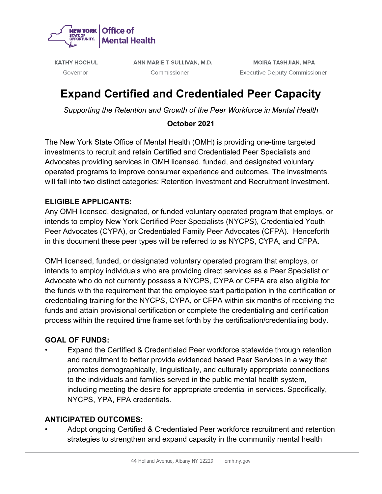

**KATHY HOCHUL** Governor

ANN MARIE T. SULLIVAN, M.D. Commissioner

**MOIRA TASHJIAN, MPA Executive Deputy Commissioner** 

# **Expand Certified and Credentialed Peer Capacity**

*Supporting the Retention and Growth of the Peer Workforce in Mental Health*

# **October 2021**

The New York State Office of Mental Health (OMH) is providing one-time targeted investments to recruit and retain Certified and Credentialed Peer Specialists and Advocates providing services in OMH licensed, funded, and designated voluntary operated programs to improve consumer experience and outcomes. The investments will fall into two distinct categories: Retention Investment and Recruitment Investment.

# **ELIGIBLE APPLICANTS:**

Any OMH licensed, designated, or funded voluntary operated program that employs, or intends to employ New York Certified Peer Specialists (NYCPS), Credentialed Youth Peer Advocates (CYPA), or Credentialed Family Peer Advocates (CFPA). Henceforth in this document these peer types will be referred to as NYCPS, CYPA, and CFPA.

OMH licensed, funded, or designated voluntary operated program that employs, or intends to employ individuals who are providing direct services as a Peer Specialist or Advocate who do not currently possess a NYCPS, CYPA or CFPA are also eligible for the funds with the requirement that the employee start participation in the certification or credentialing training for the NYCPS, CYPA, or CFPA within six months of receiving the funds and attain provisional certification or complete the credentialing and certification process within the required time frame set forth by the certification/credentialing body.

# **GOAL OF FUNDS:**

• Expand the Certified & Credentialed Peer workforce statewide through retention and recruitment to better provide evidenced based Peer Services in a way that promotes demographically, linguistically, and culturally appropriate connections to the individuals and families served in the public mental health system, including meeting the desire for appropriate credential in services. Specifically, NYCPS, YPA, FPA credentials.

# **ANTICIPATED OUTCOMES:**

• Adopt ongoing Certified & Credentialed Peer workforce recruitment and retention strategies to strengthen and expand capacity in the community mental health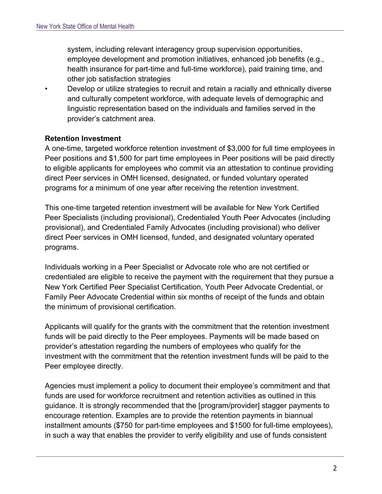system, including relevant interagency group supervision opportunities, employee development and promotion initiatives, enhanced job benefits (e.g., health insurance for part-time and full-time workforce), paid training time, and other job satisfaction strategies

• Develop or utilize strategies to recruit and retain a racially and ethnically diverse and culturally competent workforce, with adequate levels of demographic and linguistic representation based on the individuals and families served in the provider's catchment area.

#### **Retention Investment**

A one-time, targeted workforce retention investment of \$3,000 for full time employees in Peer positions and \$1,500 for part time employees in Peer positions will be paid directly to eligible applicants for employees who commit via an attestation to continue providing direct Peer services in OMH licensed, designated, or funded voluntary operated programs for a minimum of one year after receiving the retention investment.

This one-time targeted retention investment will be available for New York Certified Peer Specialists (including provisional), Credentialed Youth Peer Advocates (including provisional), and Credentialed Family Advocates (including provisional) who deliver direct Peer services in OMH licensed, funded, and designated voluntary operated programs.

Individuals working in a Peer Specialist or Advocate role who are not certified or credentialed are eligible to receive the payment with the requirement that they pursue a New York Certified Peer Specialist Certification, Youth Peer Advocate Credential, or Family Peer Advocate Credential within six months of receipt of the funds and obtain the minimum of provisional certification.

Applicants will qualify for the grants with the commitment that the retention investment funds will be paid directly to the Peer employees. Payments will be made based on provider's attestation regarding the numbers of employees who qualify for the investment with the commitment that the retention investment funds will be paid to the Peer employee directly.

Agencies must implement a policy to document their employee's commitment and that funds are used for workforce recruitment and retention activities as outlined in this guidance. It is strongly recommended that the [program/provider] stagger payments to encourage retention. Examples are to provide the retention payments in biannual installment amounts (\$750 for part-time employees and \$1500 for full-time employees), in such a way that enables the provider to verify eligibility and use of funds consistent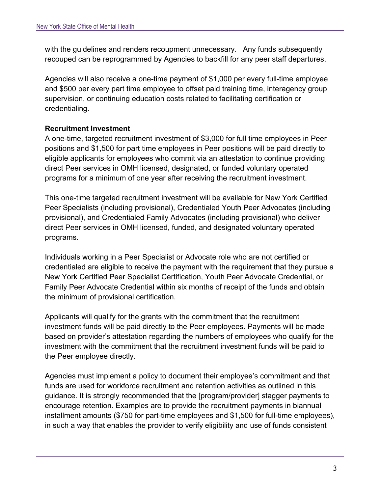with the guidelines and renders recoupment unnecessary. Any funds subsequently recouped can be reprogrammed by Agencies to backfill for any peer staff departures.

Agencies will also receive a one-time payment of \$1,000 per every full-time employee and \$500 per every part time employee to offset paid training time, interagency group supervision, or continuing education costs related to facilitating certification or credentialing.

# **Recruitment Investment**

A one-time, targeted recruitment investment of \$3,000 for full time employees in Peer positions and \$1,500 for part time employees in Peer positions will be paid directly to eligible applicants for employees who commit via an attestation to continue providing direct Peer services in OMH licensed, designated, or funded voluntary operated programs for a minimum of one year after receiving the recruitment investment.

This one-time targeted recruitment investment will be available for New York Certified Peer Specialists (including provisional), Credentialed Youth Peer Advocates (including provisional), and Credentialed Family Advocates (including provisional) who deliver direct Peer services in OMH licensed, funded, and designated voluntary operated programs.

Individuals working in a Peer Specialist or Advocate role who are not certified or credentialed are eligible to receive the payment with the requirement that they pursue a New York Certified Peer Specialist Certification, Youth Peer Advocate Credential, or Family Peer Advocate Credential within six months of receipt of the funds and obtain the minimum of provisional certification.

Applicants will qualify for the grants with the commitment that the recruitment investment funds will be paid directly to the Peer employees. Payments will be made based on provider's attestation regarding the numbers of employees who qualify for the investment with the commitment that the recruitment investment funds will be paid to the Peer employee directly.

Agencies must implement a policy to document their employee's commitment and that funds are used for workforce recruitment and retention activities as outlined in this guidance. It is strongly recommended that the [program/provider] stagger payments to encourage retention. Examples are to provide the recruitment payments in biannual installment amounts (\$750 for part-time employees and \$1,500 for full-time employees), in such a way that enables the provider to verify eligibility and use of funds consistent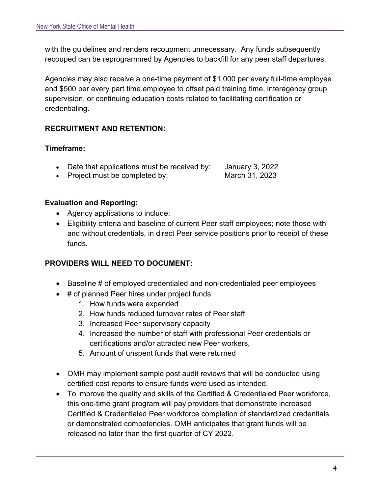with the guidelines and renders recoupment unnecessary. Any funds subsequently recouped can be reprogrammed by Agencies to backfill for any peer staff departures.

Agencies may also receive a one-time payment of \$1,000 per every full-time employee and \$500 per every part time employee to offset paid training time, interagency group supervision, or continuing education costs related to facilitating certification or credentialing.

# **RECRUITMENT AND RETENTION:**

#### **Timeframe:**

|  | Date that applications must be received by: | <b>January 3, 2022</b> |
|--|---------------------------------------------|------------------------|
|--|---------------------------------------------|------------------------|

• Project must be completed by: March 31, 2023

# **Evaluation and Reporting:**

- Agency applications to include:
- Eligibility criteria and baseline of current Peer staff employees; note those with and without credentials, in direct Peer service positions prior to receipt of these funds.

#### **PROVIDERS WILL NEED TO DOCUMENT:**

- Baseline # of employed credentialed and non-credentialed peer employees
- # of planned Peer hires under project funds
	- 1. How funds were expended
	- 2. How funds reduced turnover rates of Peer staff
	- 3. Increased Peer supervisory capacity
	- 4. Increased the number of staff with professional Peer credentials or certifications and/or attracted new Peer workers,
	- 5. Amount of unspent funds that were returned
- OMH may implement sample post audit reviews that will be conducted using certified cost reports to ensure funds were used as intended.
- To improve the quality and skills of the Certified & Credentialed Peer workforce, this one-time grant program will pay providers that demonstrate increased Certified & Credentialed Peer workforce completion of standardized credentials or demonstrated competencies. OMH anticipates that grant funds will be released no later than the first quarter of CY 2022.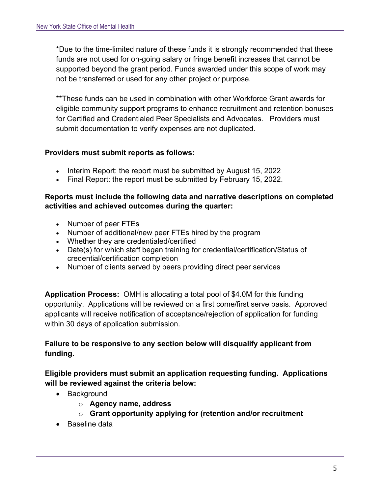\*Due to the time-limited nature of these funds it is strongly recommended that these funds are not used for on-going salary or fringe benefit increases that cannot be supported beyond the grant period. Funds awarded under this scope of work may not be transferred or used for any other project or purpose.

\*\*These funds can be used in combination with other Workforce Grant awards for eligible community support programs to enhance recruitment and retention bonuses for Certified and Credentialed Peer Specialists and Advocates. Providers must submit documentation to verify expenses are not duplicated.

#### **Providers must submit reports as follows:**

- Interim Report: the report must be submitted by August 15, 2022
- Final Report: the report must be submitted by February 15, 2022.

#### **Reports must include the following data and narrative descriptions on completed activities and achieved outcomes during the quarter:**

- Number of peer FTEs
- Number of additional/new peer FTEs hired by the program
- Whether they are credentialed/certified
- Date(s) for which staff began training for credential/certification/Status of credential/certification completion
- Number of clients served by peers providing direct peer services

**Application Process:** OMH is allocating a total pool of \$4.0M for this funding opportunity. Applications will be reviewed on a first come/first serve basis. Approved applicants will receive notification of acceptance/rejection of application for funding within 30 days of application submission.

# **Failure to be responsive to any section below will disqualify applicant from funding.**

**Eligible providers must submit an application requesting funding. Applications will be reviewed against the criteria below:**

- Background
	- o **Agency name, address**
	- o **Grant opportunity applying for (retention and/or recruitment**
- Baseline data